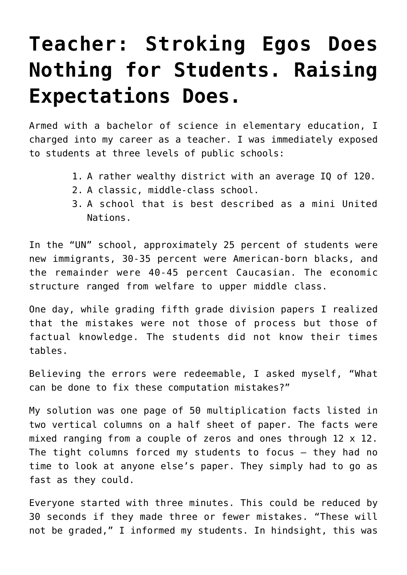## **[Teacher: Stroking Egos Does](https://intellectualtakeout.org/2018/12/teacher-stroking-egos-does-nothing-for-students-raising-expectations-does/) [Nothing for Students. Raising](https://intellectualtakeout.org/2018/12/teacher-stroking-egos-does-nothing-for-students-raising-expectations-does/) [Expectations Does.](https://intellectualtakeout.org/2018/12/teacher-stroking-egos-does-nothing-for-students-raising-expectations-does/)**

Armed with a bachelor of science in elementary education, I charged into my career as a teacher. I was immediately exposed to students at three levels of public schools:

- 1. A rather wealthy district with an average IQ of 120.
- 2. A classic, middle-class school.
- 3. A school that is best described as a mini United Nations.

In the "UN" school, approximately 25 percent of students were new immigrants, 30-35 percent were American-born blacks, and the remainder were 40-45 percent Caucasian. The economic structure ranged from welfare to upper middle class.

One day, while grading fifth grade division papers I realized that the mistakes were not those of process but those of factual knowledge. The students did not know their times tables.

Believing the errors were redeemable, I asked myself, "What can be done to fix these computation mistakes?"

My solution was one page of 50 multiplication facts listed in two vertical columns on a half sheet of paper. The facts were mixed ranging from a couple of zeros and ones through 12 x 12. The tight columns forced my students to focus – they had no time to look at anyone else's paper. They simply had to go as fast as they could.

Everyone started with three minutes. This could be reduced by 30 seconds if they made three or fewer mistakes. "These will not be graded," I informed my students. In hindsight, this was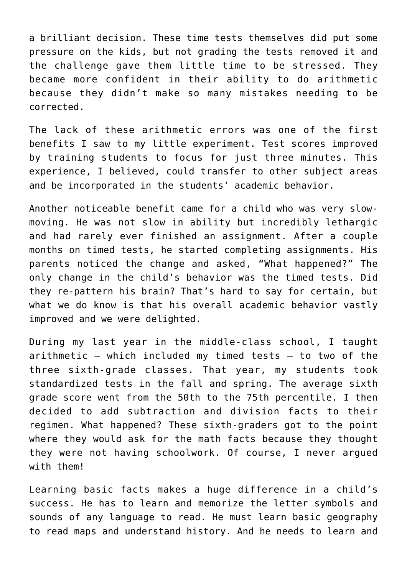a brilliant decision. These time tests themselves did put some pressure on the kids, but not grading the tests removed it and the challenge gave them little time to be stressed. They became more confident in their ability to do arithmetic because they didn't make so many mistakes needing to be corrected.

The lack of these arithmetic errors was one of the first benefits I saw to my little experiment. Test scores improved by training students to focus for just three minutes. This experience, I believed, could transfer to other subject areas and be incorporated in the students' academic behavior.

Another noticeable benefit came for a child who was very slowmoving. He was not slow in ability but incredibly lethargic and had rarely ever finished an assignment. After a couple months on timed tests, he started completing assignments. His parents noticed the change and asked, "What happened?" The only change in the child's behavior was the timed tests. Did they re-pattern his brain? That's hard to say for certain, but what we do know is that his overall academic behavior vastly improved and we were delighted.

During my last year in the middle-class school, I taught arithmetic – which included my timed tests – to two of the three sixth-grade classes. That year, my students took standardized tests in the fall and spring. The average sixth grade score went from the 50th to the 75th percentile. I then decided to add subtraction and division facts to their regimen. What happened? These sixth-graders got to the point where they would ask for the math facts because they thought they were not having schoolwork. Of course, I never argued with them!

Learning basic facts makes a huge difference in a child's success. He has to learn and memorize the letter symbols and sounds of any language to read. He must learn basic geography to read maps and understand history. And he needs to learn and